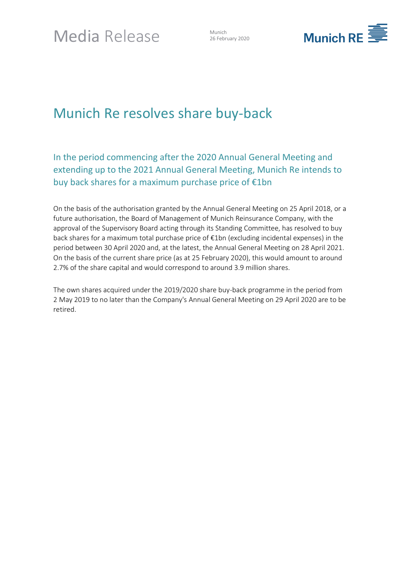26 February 2020



# Munich Re resolves share buy-back

In the period commencing after the 2020 Annual General Meeting and extending up to the 2021 Annual General Meeting, Munich Re intends to buy back shares for a maximum purchase price of €1bn

On the basis of the authorisation granted by the Annual General Meeting on 25 April 2018, or a future authorisation, the Board of Management of Munich Reinsurance Company, with the approval of the Supervisory Board acting through its Standing Committee, has resolved to buy back shares for a maximum total purchase price of €1bn (excluding incidental expenses) in the period between 30 April 2020 and, at the latest, the Annual General Meeting on 28 April 2021. On the basis of the current share price (as at 25 February 2020), this would amount to around 2.7% of the share capital and would correspond to around 3.9 million shares.

The own shares acquired under the 2019/2020 share buy-back programme in the period from 2 May 2019 to no later than the Company's Annual General Meeting on 29 April 2020 are to be retired.